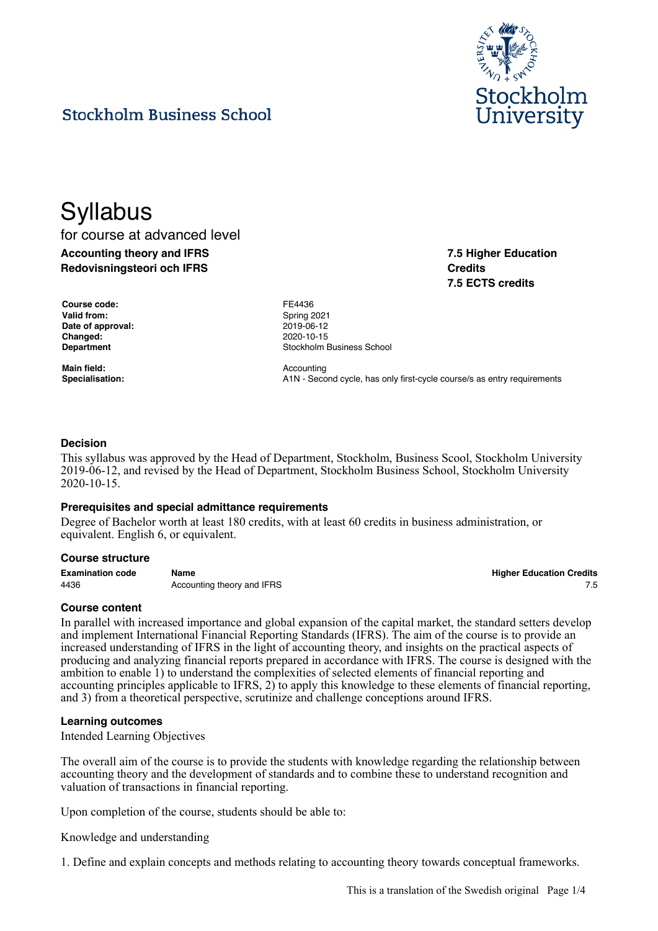

**7.5 Higher Education**

**7.5 ECTS credits**

**Credits**

## **Stockholm Business School**

# **Syllabus** for course at advanced level

**Accounting theory and IFRS Redovisningsteori och IFRS**

| <b>Course code:</b> |
|---------------------|
| <b>Valid from:</b>  |
| Date of approval:   |
| Changed:            |
| Department          |

**Main field:** Accounting

**Course code:** FE4436 **Valid from:** Spring 2021 **Date of approval:** 2019-06-12 **Changed:** 2020-10-15 **Stockholm Business School** 

Specialisation: **A1N** - Second cycle, has only first-cycle course/s as entry requirements

## **Decision**

This syllabus was approved by the Head of Department, Stockholm, Business Scool, Stockholm University 2019-06-12, and revised by the Head of Department, Stockholm Business School, Stockholm University 2020-10-15.

#### **Prerequisites and special admittance requirements**

Degree of Bachelor worth at least 180 credits, with at least 60 credits in business administration, or equivalent. English 6, or equivalent.

#### **Course structure**

| <b>Examination code</b> | Name                       | <b>Higher Education Credits</b> |
|-------------------------|----------------------------|---------------------------------|
| 4436                    | Accounting theory and IFRS |                                 |

## **Course content**

In parallel with increased importance and global expansion of the capital market, the standard setters develop and implement International Financial Reporting Standards (IFRS). The aim of the course is to provide an increased understanding of IFRS in the light of accounting theory, and insights on the practical aspects of producing and analyzing financial reports prepared in accordance with IFRS. The course is designed with the ambition to enable 1) to understand the complexities of selected elements of financial reporting and accounting principles applicable to IFRS, 2) to apply this knowledge to these elements of financial reporting, and 3) from a theoretical perspective, scrutinize and challenge conceptions around IFRS.

#### **Learning outcomes**

Intended Learning Objectives

The overall aim of the course is to provide the students with knowledge regarding the relationship between accounting theory and the development of standards and to combine these to understand recognition and valuation of transactions in financial reporting.

Upon completion of the course, students should be able to:

Knowledge and understanding

1. Define and explain concepts and methods relating to accounting theory towards conceptual frameworks.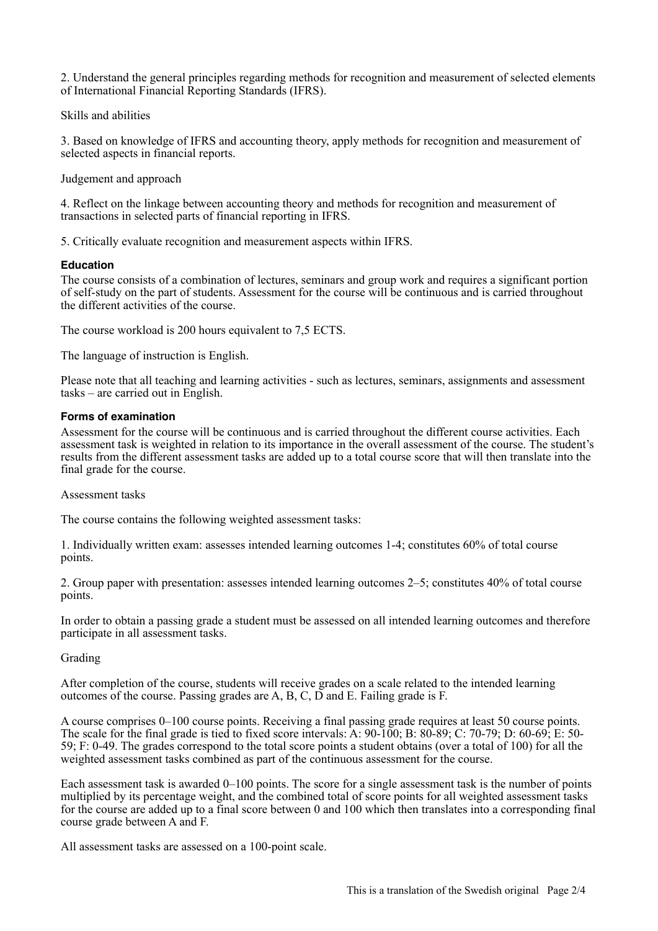2. Understand the general principles regarding methods for recognition and measurement of selected elements of International Financial Reporting Standards (IFRS).

Skills and abilities

3. Based on knowledge of IFRS and accounting theory, apply methods for recognition and measurement of selected aspects in financial reports.

Judgement and approach

4. Reflect on the linkage between accounting theory and methods for recognition and measurement of transactions in selected parts of financial reporting in IFRS.

5. Critically evaluate recognition and measurement aspects within IFRS.

## **Education**

The course consists of a combination of lectures, seminars and group work and requires a significant portion of self-study on the part of students. Assessment for the course will be continuous and is carried throughout the different activities of the course.

The course workload is 200 hours equivalent to 7,5 ECTS.

The language of instruction is English.

Please note that all teaching and learning activities - such as lectures, seminars, assignments and assessment tasks – are carried out in English.

#### **Forms of examination**

Assessment for the course will be continuous and is carried throughout the different course activities. Each assessment task is weighted in relation to its importance in the overall assessment of the course. The student's results from the different assessment tasks are added up to a total course score that will then translate into the final grade for the course.

Assessment tasks

The course contains the following weighted assessment tasks:

1. Individually written exam: assesses intended learning outcomes 1-4; constitutes 60% of total course points.

2. Group paper with presentation: assesses intended learning outcomes 2–5; constitutes 40% of total course points.

In order to obtain a passing grade a student must be assessed on all intended learning outcomes and therefore participate in all assessment tasks.

#### Grading

After completion of the course, students will receive grades on a scale related to the intended learning outcomes of the course. Passing grades are A, B, C, D and E. Failing grade is F.

A course comprises 0–100 course points. Receiving a final passing grade requires at least 50 course points. The scale for the final grade is tied to fixed score intervals: A: 90-100; B: 80-89; C: 70-79; D: 60-69; E: 50- 59; F: 0-49. The grades correspond to the total score points a student obtains (over a total of 100) for all the weighted assessment tasks combined as part of the continuous assessment for the course.

Each assessment task is awarded 0–100 points. The score for a single assessment task is the number of points multiplied by its percentage weight, and the combined total of score points for all weighted assessment tasks for the course are added up to a final score between 0 and 100 which then translates into a corresponding final course grade between A and F.

All assessment tasks are assessed on a 100-point scale.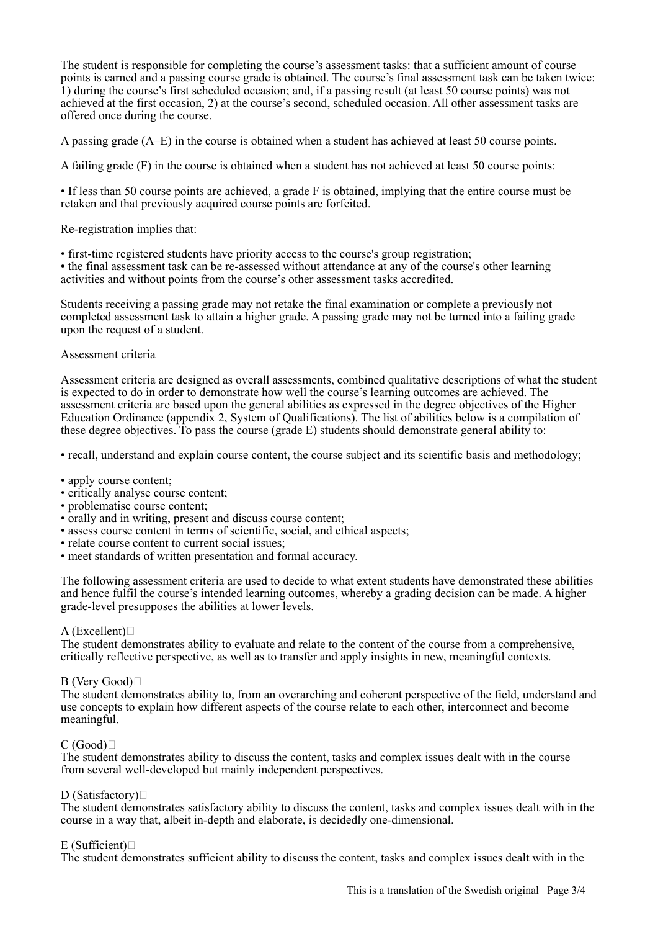The student is responsible for completing the course's assessment tasks: that a sufficient amount of course points is earned and a passing course grade is obtained. The course's final assessment task can be taken twice: 1) during the course's first scheduled occasion; and, if a passing result (at least 50 course points) was not achieved at the first occasion, 2) at the course's second, scheduled occasion. All other assessment tasks are offered once during the course.

A passing grade (A–E) in the course is obtained when a student has achieved at least 50 course points.

A failing grade (F) in the course is obtained when a student has not achieved at least 50 course points:

• If less than 50 course points are achieved, a grade F is obtained, implying that the entire course must be retaken and that previously acquired course points are forfeited.

Re-registration implies that:

• first-time registered students have priority access to the course's group registration;

• the final assessment task can be re-assessed without attendance at any of the course's other learning activities and without points from the course's other assessment tasks accredited.

Students receiving a passing grade may not retake the final examination or complete a previously not completed assessment task to attain a higher grade. A passing grade may not be turned into a failing grade upon the request of a student.

## Assessment criteria

Assessment criteria are designed as overall assessments, combined qualitative descriptions of what the student is expected to do in order to demonstrate how well the course's learning outcomes are achieved. The assessment criteria are based upon the general abilities as expressed in the degree objectives of the Higher Education Ordinance (appendix 2, System of Qualifications). The list of abilities below is a compilation of these degree objectives. To pass the course (grade E) students should demonstrate general ability to:

• recall, understand and explain course content, the course subject and its scientific basis and methodology;

- apply course content:
- critically analyse course content;
- problematise course content:
- orally and in writing, present and discuss course content;
- assess course content in terms of scientific, social, and ethical aspects;
- relate course content to current social issues;
- meet standards of written presentation and formal accuracy.

The following assessment criteria are used to decide to what extent students have demonstrated these abilities and hence fulfil the course's intended learning outcomes, whereby a grading decision can be made. A higher grade-level presupposes the abilities at lower levels.

## $A$  (Excellent) $\square$

The student demonstrates ability to evaluate and relate to the content of the course from a comprehensive, critically reflective perspective, as well as to transfer and apply insights in new, meaningful contexts.

## B (Very Good)

The student demonstrates ability to, from an overarching and coherent perspective of the field, understand and use concepts to explain how different aspects of the course relate to each other, interconnect and become meaningful.

## $C(Good)$

The student demonstrates ability to discuss the content, tasks and complex issues dealt with in the course from several well-developed but mainly independent perspectives.

## D (Satisfactory) $\Box$

The student demonstrates satisfactory ability to discuss the content, tasks and complex issues dealt with in the course in a way that, albeit in-depth and elaborate, is decidedly one-dimensional.

## E (Sufficient) $\Box$

The student demonstrates sufficient ability to discuss the content, tasks and complex issues dealt with in the